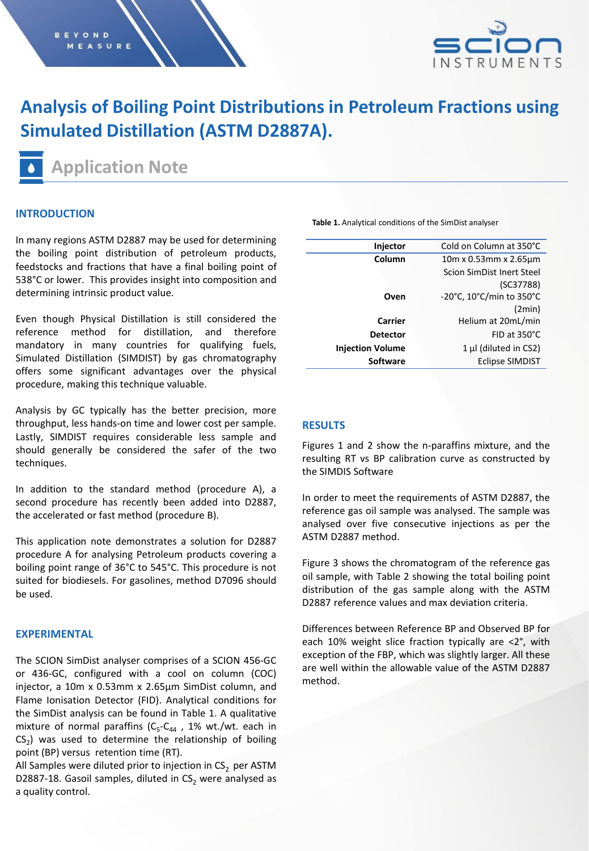

# **Analysis of Boiling Point Distributions in Petroleum Fractions using Simulated Distillation (ASTM D2887A).**

**Application Note**

## **INTRODUCTION**

In many regions ASTM D2887 may be used for determining the boiling point distribution of petroleum products, feedstocks and fractions that have a final boiling point of 538°C or lower. This provides insight into composition and determining intrinsic product value.

Even though Physical Distillation is still considered the reference method for distillation, and therefore mandatory in many countries for qualifying fuels, Simulated Distillation (SIMDIST) by gas chromatography offers some significant advantages over the physical procedure, making this technique valuable.

Analysis by GC typically has the better precision, more throughput, less hands-on time and lower cost per sample. Lastly, SIMDIST requires considerable less sample and should generally be considered the safer of the two techniques.

In addition to the standard method (procedure A), a second procedure has recently been added into D2887, the accelerated or fast method (procedure B).

This application note demonstrates a solution for D2887 procedure A for analysing Petroleum products covering a boiling point range of 36°C to 545°C. This procedure is not suited for biodiesels. For gasolines, method D7096 should be used.

## **EXPERIMENTAL**

The SCION SimDist analyser comprises of a SCION 456-GC or 436-GC, configured with a cool on column (COC) injector, a 10m x 0.53mm x 2.65µm SimDist column, and Flame Ionisation Detector (FID). Analytical conditions for the SimDist analysis can be found in Table 1. A qualitative mixture of normal paraffins ( $C_5$ - $C_{44}$  , 1% wt./wt. each in  $CS_2$ ) was used to determine the relationship of boiling point (BP) versus retention time (RT).

All Samples were diluted prior to injection in  $CS<sub>2</sub>$  per ASTM D2887-18. Gasoil samples, diluted in  $CS<sub>2</sub>$  were analysed as a quality control.

**Table 1.** Analytical conditions of the SimDist analyser

| Injector                | Cold on Column at 350°C               |  |  |
|-------------------------|---------------------------------------|--|--|
| Column                  | $10m \times 0.53mm \times 2.65 \mu m$ |  |  |
|                         | Scion SimDist Inert Steel             |  |  |
|                         | (C37788)                              |  |  |
| Oven                    | -20°C, 10°C/min to 350°C              |  |  |
|                         | (2min)                                |  |  |
| Carrier                 | Helium at 20mL/min                    |  |  |
| <b>Detector</b>         | $FID$ at $350^{\circ}$ C              |  |  |
| <b>Injection Volume</b> | $1 \mu$ (diluted in CS2)              |  |  |
| <b>Software</b>         | <b>Eclipse SIMDIST</b>                |  |  |
|                         |                                       |  |  |

#### **RESULTS**

Figures 1 and 2 show the n-paraffins mixture, and the resulting RT vs BP calibration curve as constructed by the SIMDIS Software

In order to meet the requirements of ASTM D2887, the reference gas oil sample was analysed. The sample was analysed over five consecutive injections as per the ASTM D2887 method.

Figure 3 shows the chromatogram of the reference gas oil sample, with Table 2 showing the total boiling point distribution of the gas sample along with the ASTM D2887 reference values and max deviation criteria.

Differences between Reference BP and Observed BP for each 10% weight slice fraction typically are <2°, with exception of the FBP, which was slightly larger. All these are well within the allowable value of the ASTM D2887 method.